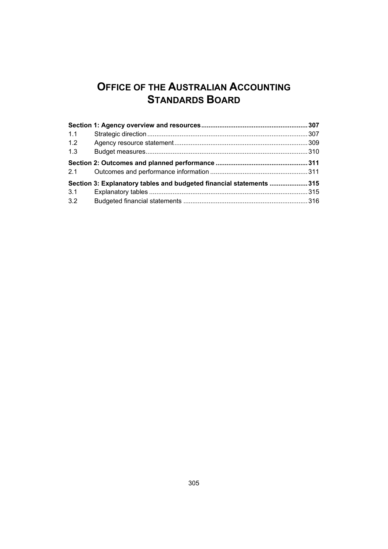## **OFFICE OF THE AUSTRALIAN ACCOUNTING STANDARDS BOARD**

| 1.1 |                                                                     |  |
|-----|---------------------------------------------------------------------|--|
| 1.2 |                                                                     |  |
| 1.3 |                                                                     |  |
| 2.1 |                                                                     |  |
|     | Section 3: Explanatory tables and budgeted financial statements 315 |  |
| 3.1 |                                                                     |  |
| 3.2 |                                                                     |  |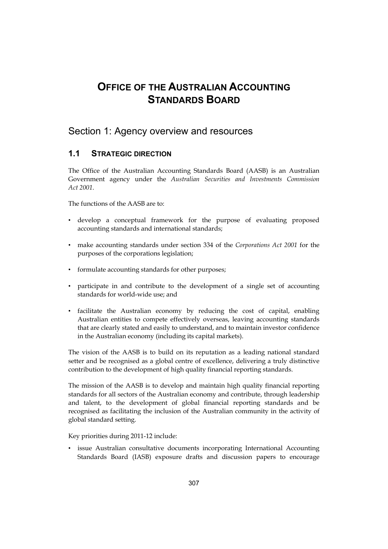## <span id="page-2-0"></span>**OFFICE OF THE AUSTRALIAN ACCOUNTING STANDARDS BOARD**

## Section 1: Agency overview and resources

## **1.1 STRATEGIC DIRECTION**

The Office of the Australian Accounting Standards Board (AASB) is an Australian Government agency under the *Australian Securities and Investments Commission Act 2001*.

The functions of the AASB are to:

- • develop a conceptual framework for the purpose of evaluating proposed accounting standards and international standards;
- • make accounting standards under section 334 of the *Corporations Act 2001* for the purposes of the corporations legislation;
- formulate accounting standards for other purposes;
- • participate in and contribute to the development of a single set of accounting standards for world-wide use; and
- • facilitate the Australian economy by reducing the cost of capital, enabling Australian entities to compete effectively overseas, leaving accounting standards that are clearly stated and easily to understand, and to maintain investor confidence in the Australian economy (including its capital markets).

The vision of the AASB is to build on its reputation as a leading national standard setter and be recognised as a global centre of excellence, delivering a truly distinctive contribution to the development of high quality financial reporting standards.

The mission of the AASB is to develop and maintain high quality financial reporting standards for all sectors of the Australian economy and contribute, through leadership and talent, to the development of global financial reporting standards and be recognised as facilitating the inclusion of the Australian community in the activity of global standard setting.

Key priorities during 2011-12 include:

issue Australian consultative documents incorporating International Accounting Standards Board (IASB) exposure drafts and discussion papers to encourage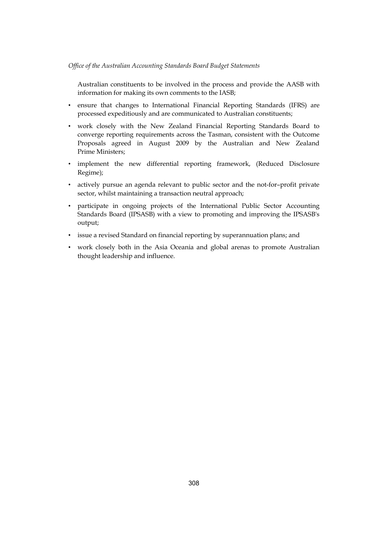Australian constituents to be involved in the process and provide the AASB with information for making its own comments to the IASB;

- • ensure that changes to International Financial Reporting Standards (IFRS) are processed expeditiously and are communicated to Australian constituents;
- • work closely with the New Zealand Financial Reporting Standards Board to converge reporting requirements across the Tasman, consistent with the Outcome Proposals agreed in August 2009 by the Australian and New Zealand Prime Ministers;
- • implement the new differential reporting framework, (Reduced Disclosure Regime);
- actively pursue an agenda relevant to public sector and the not-for-profit private sector, whilst maintaining a transaction neutral approach;
- • participate in ongoing projects of the International Public Sector Accounting Standards Board (IPSASB) with a view to promoting and improving the IPSASB's output;
- • issue a revised Standard on financial reporting by superannuation plans; and
- work closely both in the Asia Oceania and global arenas to promote Australian thought leadership and influence.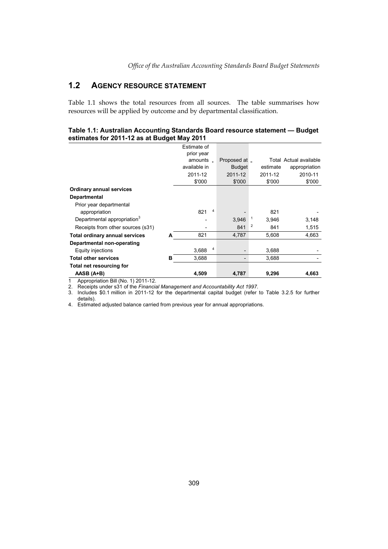## **1.2 AGENCY RESOURCE STATEMENT**

Table 1.1 shows the total resources from all sources. The table summarises how resources will be applied by outcome and by departmental classification.

### **Table 1.1: Australian Accounting Standards Board resource statement — Budget estimates for 2011-12 as at Budget May 2011**

|                                         |   | Estimate of<br>prior year |   |               |   |          |                        |
|-----------------------------------------|---|---------------------------|---|---------------|---|----------|------------------------|
|                                         |   | amounts $\Box$            |   | Proposed at _ |   |          | Total Actual available |
|                                         |   | available in              |   | <b>Budget</b> |   | estimate | appropriation          |
|                                         |   | 2011-12                   |   | 2011-12       |   | 2011-12  | 2010-11                |
|                                         |   | \$'000                    |   | \$'000        |   | \$'000   | \$'000                 |
| <b>Ordinary annual services</b>         |   |                           |   |               |   |          |                        |
| <b>Departmental</b>                     |   |                           |   |               |   |          |                        |
| Prior year departmental                 |   |                           |   |               |   |          |                        |
| appropriation                           |   | 821                       | 4 |               |   | 821      |                        |
| Departmental appropriation <sup>3</sup> |   |                           |   | 3,946         | 1 | 3.946    | 3,148                  |
| Receipts from other sources (s31)       |   |                           |   | 841           | 2 | 841      | 1,515                  |
| <b>Total ordinary annual services</b>   | A | 821                       |   | 4,787         |   | 5,608    | 4,663                  |
| Departmental non-operating              |   |                           |   |               |   |          |                        |
| Equity injections                       |   | 3,688                     | 4 |               |   | 3,688    |                        |
| <b>Total other services</b>             | в | 3,688                     |   |               |   | 3,688    |                        |
| Total net resourcing for                |   |                           |   |               |   |          |                        |
| AASB (A+B)                              |   | 4,509                     |   | 4,787         |   | 9,296    | 4,663                  |

1 Appropriation Bill (No. 1) 2011-12.

2. Receipts under s31 of the *Financial Management and Accountability Act 1997*.

3. Includes \$0.1 million in 2011-12 for the departmental capital budget (refer to Table 3.2.5 for further details).

4. Estimated adjusted balance carried from previous year for annual appropriations.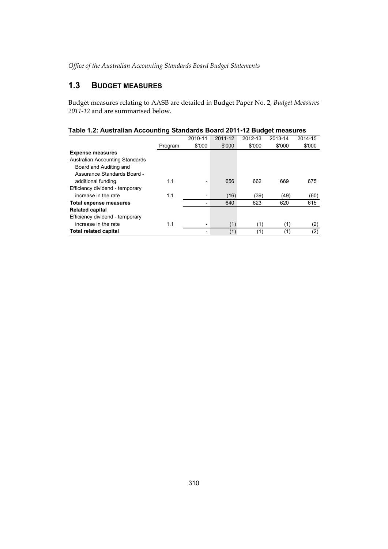## **1.3 BUDGET MEASURES**

Budget measures relating to AASB are detailed in Budget Paper No. 2, *Budget Measures 2011-12* and are summarised below.

| Table 1.2: Australian Accounting Standards Board 2011-12 Budget measures |  |  |  |
|--------------------------------------------------------------------------|--|--|--|
|                                                                          |  |  |  |

|                                 |         | 2010-11                  | 2011-12 | 2012-13 | 2013-14 | 2014-15 |
|---------------------------------|---------|--------------------------|---------|---------|---------|---------|
|                                 | Program | \$'000                   | \$'000  | \$'000  | \$'000  | \$'000  |
| <b>Expense measures</b>         |         |                          |         |         |         |         |
| Australian Accounting Standards |         |                          |         |         |         |         |
| Board and Auditing and          |         |                          |         |         |         |         |
| Assurance Standards Board -     |         |                          |         |         |         |         |
| additional funding              | 1.1     |                          | 656     | 662     | 669     | 675     |
| Efficiency dividend - temporary |         |                          |         |         |         |         |
| increase in the rate            | 1.1     | $\overline{\phantom{0}}$ | (16)    | (39)    | (49)    | (60)    |
| <b>Total expense measures</b>   |         |                          | 640     | 623     | 620     | 615     |
| <b>Related capital</b>          |         |                          |         |         |         |         |
| Efficiency dividend - temporary |         |                          |         |         |         |         |
| increase in the rate            | 1.1     | $\overline{\phantom{0}}$ | (1)     | (1)     | (1)     | (2)     |
| Total related capital           |         |                          | (1)     | (1)     | (1)     | (2)     |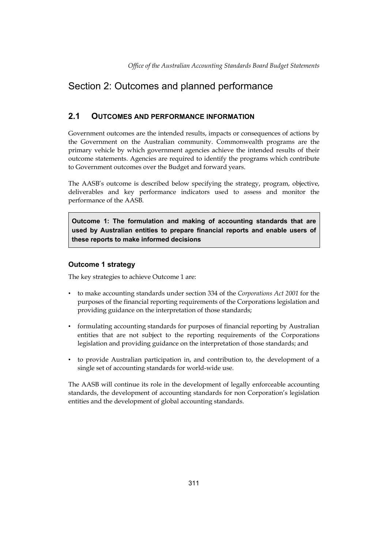## <span id="page-6-0"></span>Section 2: Outcomes and planned performance

## **2.1 OUTCOMES AND PERFORMANCE INFORMATION**

 Government outcomes are the intended results, impacts or consequences of actions by the Government on the Australian community. Commonwealth programs are the primary vehicle by which government agencies achieve the intended results of their outcome statements. Agencies are required to identify the programs which contribute to Government outcomes over the Budget and forward years.

The AASB's outcome is described below specifying the strategy, program, objective, deliverables and key performance indicators used to assess and monitor the performance of the AASB.

**Outcome 1: The formulation and making of accounting standards that are used by Australian entities to prepare financial reports and enable users of these reports to make informed decisions** 

### **Outcome 1 strategy**

The key strategies to achieve Outcome 1 are:

- • to make accounting standards under section 334 of the *Corporations Act 2001* for the purposes of the financial reporting requirements of the Corporations legislation and providing guidance on the interpretation of those standards;
- formulating accounting standards for purposes of financial reporting by Australian entities that are not subject to the reporting requirements of the Corporations legislation and providing guidance on the interpretation of those standards; and
- • to provide Australian participation in, and contribution to, the development of a single set of accounting standards for world-wide use.

The AASB will continue its role in the development of legally enforceable accounting standards, the development of accounting standards for non Corporation's legislation entities and the development of global accounting standards.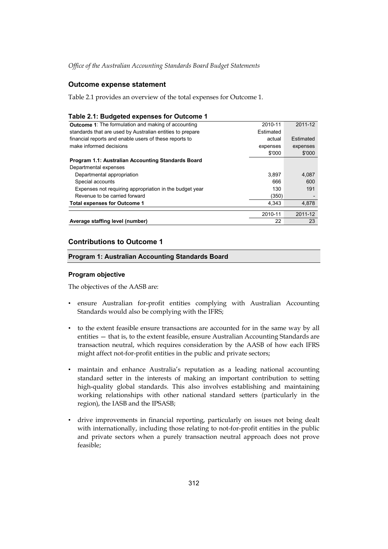### **Outcome expense statement**

Table 2.1 provides an overview of the total expenses for Outcome 1.

### **Table 2.1: Budgeted expenses for Outcome 1**

| <b>Outcome 1:</b> The formulation and making of accounting | 2010-11   | 2011-12   |
|------------------------------------------------------------|-----------|-----------|
| standards that are used by Australian entities to prepare  | Estimated |           |
| financial reports and enable users of these reports to     | actual    | Estimated |
| make informed decisions                                    | expenses  | expenses  |
|                                                            | \$'000    | \$'000    |
| Program 1.1: Australian Accounting Standards Board         |           |           |
| Departmental expenses                                      |           |           |
| Departmental appropriation                                 | 3.897     | 4,087     |
| Special accounts                                           | 666       | 600       |
| Expenses not requiring appropriation in the budget year    | 130       | 191       |
| Revenue to be carried forward                              | (350)     |           |
| <b>Total expenses for Outcome 1</b>                        | 4,343     | 4,878     |
|                                                            | 2010-11   | 2011-12   |
| Average staffing level (number)                            | 22        | 23        |

### **Contributions to Outcome 1**

### **Program 1: Australian Accounting Standards Board**

### **Program objective**

The objectives of the AASB are:

- • ensure Australian for-profit entities complying with Australian Accounting Standards would also be complying with the IFRS;
- • to the extent feasible ensure transactions are accounted for in the same way by all entities — that is, to the extent feasible, ensure Australian Accounting Standards are transaction neutral, which requires consideration by the AASB of how each IFRS might affect not-for-profit entities in the public and private sectors;
- • maintain and enhance Australia's reputation as a leading national accounting standard setter in the interests of making an important contribution to setting high-quality global standards. This also involves establishing and maintaining working relationships with other national standard setters (particularly in the region), the IASB and the IPSASB;
- • drive improvements in financial reporting, particularly on issues not being dealt with internationally, including those relating to not-for-profit entities in the public and private sectors when a purely transaction neutral approach does not prove feasible;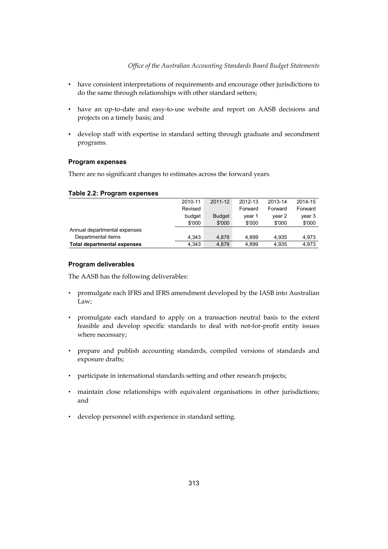- • have consistent interpretations of requirements and encourage other jurisdictions to do the same through relationships with other standard setters;
- • have an up-to-date and easy-to-use website and report on AASB decisions and projects on a timely basis; and
- develop staff with expertise in standard setting through graduate and secondment programs.

### **Program expenses**

There are no significant changes to estimates across the forward years.

### **Table 2.2: Program expenses**

|                                    | 2010-11 | 2011-12       | 2012-13 | 2013-14 | 2014-15 |
|------------------------------------|---------|---------------|---------|---------|---------|
|                                    | Revised |               | Forward | Forward | Forward |
|                                    | budget  | <b>Budget</b> | vear 1  | vear 2  | year 3  |
|                                    | \$'000  | \$'000        | \$'000  | \$'000  | \$'000  |
| Annual departmental expenses       |         |               |         |         |         |
| Departmental items                 | 4.343   | 4.878         | 4.899   | 4.935   | 4.973   |
| <b>Total departmental expenses</b> | 4.343   | 4,878         | 4.899   | 4,935   | 4.973   |

### **Program deliverables**

The AASB has the following deliverables:

- • promulgate each IFRS and IFRS amendment developed by the IASB into Australian Law;
- • promulgate each standard to apply on a transaction neutral basis to the extent feasible and develop specific standards to deal with not-for-profit entity issues where necessary;
- • prepare and publish accounting standards, compiled versions of standards and exposure drafts;
- participate in international standards setting and other research projects;
- • maintain close relationships with equivalent organisations in other jurisdictions; and
- • develop personnel with experience in standard setting.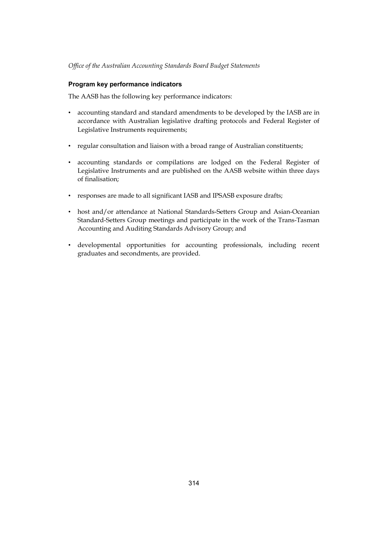### **Program key performance indicators**

The AASB has the following key performance indicators:

- accounting standard and standard amendments to be developed by the IASB are in accordance with Australian legislative drafting protocols and Federal Register of Legislative Instruments requirements;
- regular consultation and liaison with a broad range of Australian constituents;
- • accounting standards or compilations are lodged on the Federal Register of Legislative Instruments and are published on the AASB website within three days of finalisation;
- • responses are made to all significant IASB and IPSASB exposure drafts;
- host and/or attendance at National Standards-Setters Group and Asian-Oceanian Standard-Setters Group meetings and participate in the work of the Trans-Tasman Accounting and Auditing Standards Advisory Group; and
- • developmental opportunities for accounting professionals, including recent graduates and secondments, are provided.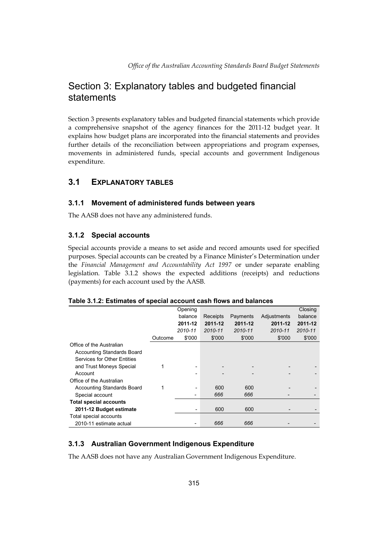## Section 3: Explanatory tables and budgeted financial statements

Section 3 presents explanatory tables and budgeted financial statements which provide a comprehensive snapshot of the agency finances for the 2011-12 budget year. It explains how budget plans are incorporated into the financial statements and provides further details of the reconciliation between appropriations and program expenses, movements in administered funds, special accounts and government Indigenous expenditure.

## **3.1 EXPLANATORY TABLES**

## **3.1.1 Movement of administered funds between years**

The AASB does not have any administered funds.

## **3.1.2 Special accounts**

Special accounts provide a means to set aside and record amounts used for specified purposes. Special accounts can be created by a Finance Minister's Determination under the *Financial Management and Accountability Act 1997* or under separate enabling legislation. Table 3.1.2 shows the expected additions (receipts) and reductions (payments) for each account used by the AASB.

|                                   |         | Opening |          |          |             | Closing |
|-----------------------------------|---------|---------|----------|----------|-------------|---------|
|                                   |         | balance | Receipts | Payments | Adjustments | balance |
|                                   |         | 2011-12 | 2011-12  | 2011-12  | 2011-12     | 2011-12 |
|                                   |         | 2010-11 | 2010-11  | 2010-11  | 2010-11     | 2010-11 |
|                                   | Outcome | \$'000  | \$'000   | \$'000   | \$'000      | \$'000  |
| Office of the Australian          |         |         |          |          |             |         |
| <b>Accounting Standards Board</b> |         |         |          |          |             |         |
| Services for Other Entities       |         |         |          |          |             |         |
| and Trust Moneys Special          |         |         |          |          |             |         |
| Account                           |         |         |          |          |             |         |
| Office of the Australian          |         |         |          |          |             |         |
| <b>Accounting Standards Board</b> | 1       | -       | 600      | 600      |             |         |
| Special account                   |         |         | 666      | 666      |             |         |
| <b>Total special accounts</b>     |         |         |          |          |             |         |
| 2011-12 Budget estimate           |         | -       | 600      | 600      |             |         |
| Total special accounts            |         |         |          |          |             |         |
| 2010-11 estimate actual           |         |         | 666      | 666      |             |         |

### **Table 3.1.2: Estimates of special account cash flows and balances**

## **3.1.3 Australian Government Indigenous Expenditure**

The AASB does not have any Australian Government Indigenous Expenditure.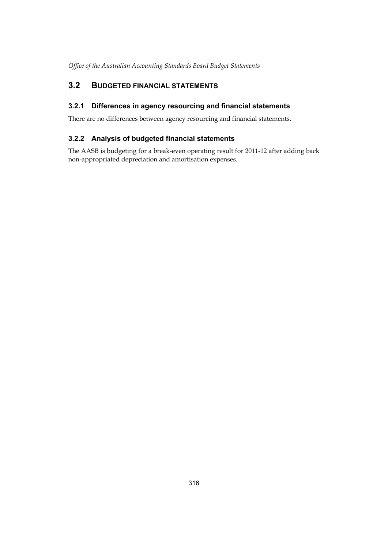## <span id="page-11-0"></span>**3.2 BUDGETED FINANCIAL STATEMENTS**

## **3.2.1 Differences in agency resourcing and financial statements**

There are no differences between agency resourcing and financial statements.

## **3.2.2 Analysis of budgeted financial statements**

The AASB is budgeting for a break-even operating result for 2011-12 after adding back non-appropriated depreciation and amortisation expenses.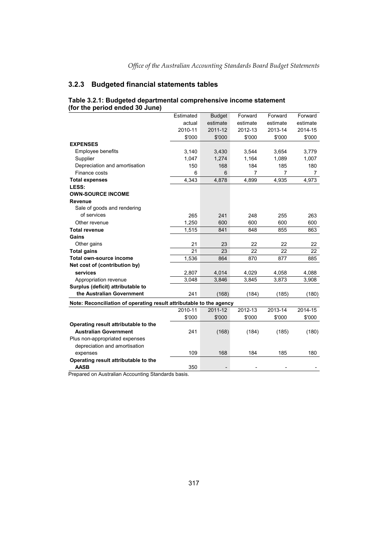### **3.2.3 Budgeted financial statements tables**

|                                                                     | Estimated | <b>Budget</b> | Forward                  | Forward  | Forward  |
|---------------------------------------------------------------------|-----------|---------------|--------------------------|----------|----------|
|                                                                     | actual    | estimate      | estimate                 | estimate | estimate |
|                                                                     | 2010-11   | 2011-12       | 2012-13                  | 2013-14  | 2014-15  |
|                                                                     | \$'000    | \$'000        | \$'000                   | \$'000   | \$'000   |
| <b>EXPENSES</b>                                                     |           |               |                          |          |          |
| <b>Employee benefits</b>                                            | 3,140     | 3,430         | 3.544                    | 3,654    | 3,779    |
| Supplier                                                            | 1,047     | 1,274         | 1,164                    | 1,089    | 1,007    |
| Depreciation and amortisation                                       | 150       | 168           | 184                      | 185      | 180      |
| Finance costs                                                       | 6         | 6             | 7                        | 7        | 7        |
| <b>Total expenses</b>                                               | 4,343     | 4,878         | 4,899                    | 4,935    | 4,973    |
| LESS:                                                               |           |               |                          |          |          |
| <b>OWN-SOURCE INCOME</b>                                            |           |               |                          |          |          |
| Revenue                                                             |           |               |                          |          |          |
| Sale of goods and rendering                                         |           |               |                          |          |          |
| of services                                                         | 265       | 241           | 248                      | 255      | 263      |
| Other revenue                                                       | 1,250     | 600           | 600                      | 600      | 600      |
| <b>Total revenue</b>                                                | 1,515     | 841           | 848                      | 855      | 863      |
| Gains                                                               |           |               |                          |          |          |
| Other gains                                                         | 21        | 23            | 22                       | 22       | 22       |
| <b>Total gains</b>                                                  | 21        | 23            | 22                       | 22       | 22       |
| Total own-source income                                             | 1,536     | 864           | 870                      | 877      | 885      |
| Net cost of (contribution by)                                       |           |               |                          |          |          |
| services                                                            | 2,807     | 4,014         | 4,029                    | 4,058    | 4,088    |
| Appropriation revenue                                               | 3,048     | 3,846         | 3,845                    | 3,873    | 3,908    |
| Surplus (deficit) attributable to                                   |           |               |                          |          |          |
| the Australian Government                                           | 241       | (168)         | (184)                    | (185)    | (180)    |
| Note: Reconciliation of operating result attributable to the agency |           |               |                          |          |          |
|                                                                     | 2010-11   | 2011-12       | 2012-13                  | 2013-14  | 2014-15  |
|                                                                     | \$'000    | \$'000        | \$'000                   | \$'000   | \$'000   |
| Operating result attributable to the                                |           |               |                          |          |          |
| <b>Australian Government</b>                                        | 241       | (168)         | (184)                    | (185)    | (180)    |
| Plus non-appropriated expenses                                      |           |               |                          |          |          |
| depreciation and amortisation                                       |           |               |                          |          |          |
| expenses                                                            | 109       | 168           | 184                      | 185      | 180      |
| Operating result attributable to the                                |           |               |                          |          |          |
| <b>AASB</b>                                                         | 350       |               | $\overline{\phantom{a}}$ |          |          |
|                                                                     |           |               |                          |          |          |

#### **Table 3.2.1: Budgeted departmental comprehensive income statement (for the period ended 30 June)**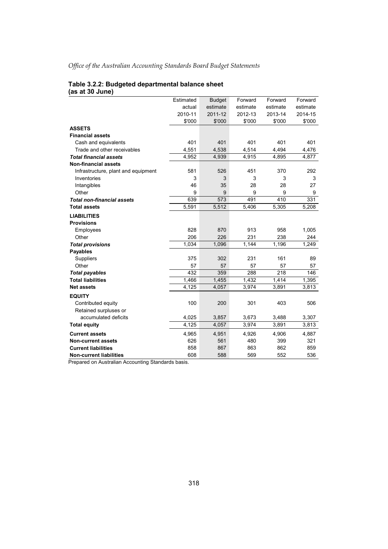#### **Table 3.2.2: Budgeted departmental balance sheet (as at 30 June)**

|                                     | Estimated | <b>Budget</b> | Forward  | Forward  | Forward  |
|-------------------------------------|-----------|---------------|----------|----------|----------|
|                                     | actual    | estimate      | estimate | estimate | estimate |
|                                     | 2010-11   | 2011-12       | 2012-13  | 2013-14  | 2014-15  |
|                                     | \$'000    | \$'000        | \$'000   | \$'000   | \$'000   |
| <b>ASSETS</b>                       |           |               |          |          |          |
| <b>Financial assets</b>             |           |               |          |          |          |
| Cash and equivalents                | 401       | 401           | 401      | 401      | 401      |
| Trade and other receivables         | 4,551     | 4,538         | 4,514    | 4,494    | 4,476    |
| <b>Total financial assets</b>       | 4,952     | 4,939         | 4,915    | 4,895    | 4,877    |
| <b>Non-financial assets</b>         |           |               |          |          |          |
| Infrastructure, plant and equipment | 581       | 526           | 451      | 370      | 292      |
| Inventories                         | 3         | 3             | 3        | 3        | 3        |
| Intangibles                         | 46        | 35            | 28       | 28       | 27       |
| Other                               | 9         | 9             | 9        | 9        | 9        |
| <b>Total non-financial assets</b>   | 639       | 573           | 491      | 410      | 331      |
| <b>Total assets</b>                 | 5,591     | 5,512         | 5,406    | 5,305    | 5,208    |
| <b>LIABILITIES</b>                  |           |               |          |          |          |
| <b>Provisions</b>                   |           |               |          |          |          |
| Employees                           | 828       | 870           | 913      | 958      | 1,005    |
| Other                               | 206       | 226           | 231      | 238      | 244      |
| <b>Total provisions</b>             | 1,034     | 1,096         | 1,144    | 1,196    | 1,249    |
| <b>Payables</b>                     |           |               |          |          |          |
| <b>Suppliers</b>                    | 375       | 302           | 231      | 161      | 89       |
| Other                               | 57        | 57            | 57       | 57       | 57       |
| <b>Total payables</b>               | 432       | 359           | 288      | 218      | 146      |
| <b>Total liabilities</b>            | 1,466     | 1,455         | 1,432    | 1,414    | 1,395    |
| <b>Net assets</b>                   | 4,125     | 4,057         | 3,974    | 3,891    | 3,813    |
| <b>EQUITY</b>                       |           |               |          |          |          |
| Contributed equity                  | 100       | 200           | 301      | 403      | 506      |
| Retained surpluses or               |           |               |          |          |          |
| accumulated deficits                | 4,025     | 3,857         | 3,673    | 3,488    | 3,307    |
| <b>Total equity</b>                 | 4,125     | 4,057         | 3,974    | 3,891    | 3,813    |
| <b>Current assets</b>               | 4,965     | 4,951         | 4,926    | 4,906    | 4,887    |
| <b>Non-current assets</b>           | 626       | 561           | 480      | 399      | 321      |
| <b>Current liabilities</b>          | 858       | 867           | 863      | 862      | 859      |
| <b>Non-current liabilities</b>      | 608       | 588           | 569      | 552      | 536      |
|                                     |           |               |          |          |          |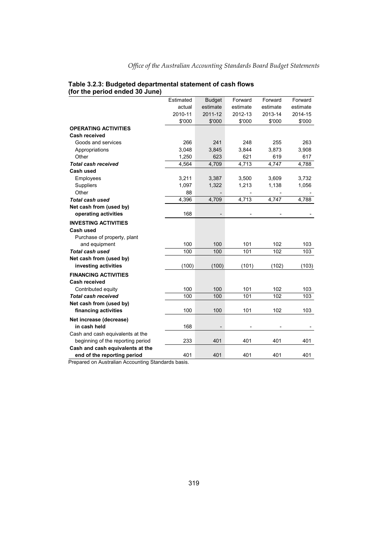|                                   | Estimated | <b>Budget</b> | Forward  | Forward  | Forward  |
|-----------------------------------|-----------|---------------|----------|----------|----------|
|                                   | actual    | estimate      | estimate | estimate | estimate |
|                                   | 2010-11   | 2011-12       | 2012-13  | 2013-14  | 2014-15  |
|                                   | \$'000    | \$'000        | \$'000   | \$'000   | \$'000   |
| <b>OPERATING ACTIVITIES</b>       |           |               |          |          |          |
| Cash received                     |           |               |          |          |          |
| Goods and services                | 266       | 241           | 248      | 255      | 263      |
| Appropriations                    | 3,048     | 3,845         | 3,844    | 3,873    | 3,908    |
| Other                             | 1,250     | 623           | 621      | 619      | 617      |
| <b>Total cash received</b>        | 4,564     | 4,709         | 4,713    | 4,747    | 4,788    |
| Cash used                         |           |               |          |          |          |
| Employees                         | 3,211     | 3,387         | 3,500    | 3,609    | 3,732    |
| <b>Suppliers</b>                  | 1,097     | 1,322         | 1,213    | 1,138    | 1,056    |
| Other                             | 88        |               |          |          |          |
| Total cash used                   | 4,396     | 4,709         | 4,713    | 4,747    | 4,788    |
| Net cash from (used by)           |           |               |          |          |          |
| operating activities              | 168       |               |          |          |          |
| <b>INVESTING ACTIVITIES</b>       |           |               |          |          |          |
| Cash used                         |           |               |          |          |          |
| Purchase of property, plant       |           |               |          |          |          |
| and equipment                     | 100       | 100           | 101      | 102      | 103      |
| <b>Total cash used</b>            | 100       | 100           | 101      | 102      | 103      |
| Net cash from (used by)           |           |               |          |          |          |
| investing activities              | (100)     | (100)         | (101)    | (102)    | (103)    |
| <b>FINANCING ACTIVITIES</b>       |           |               |          |          |          |
| <b>Cash received</b>              |           |               |          |          |          |
| Contributed equity                | 100       | 100           | 101      | 102      | 103      |
| <b>Total cash received</b>        | 100       | 100           | 101      | 102      | 103      |
| Net cash from (used by)           |           |               |          |          |          |
| financing activities              | 100       | 100           | 101      | 102      | 103      |
| Net increase (decrease)           |           |               |          |          |          |
| in cash held                      | 168       |               |          |          |          |
| Cash and cash equivalents at the  |           |               |          |          |          |
| beginning of the reporting period | 233       | 401           | 401      | 401      | 401      |
| Cash and cash equivalents at the  |           |               |          |          |          |
| end of the reporting period       | 401       | 401           | 401      | 401      | 401      |
|                                   |           |               |          |          |          |

# **Table 3.2.3: Budgeted departmental statement of cash flows (for the period ended 30 June)**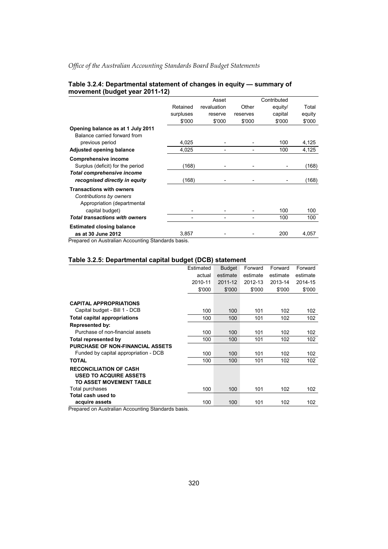|           | Asset       |          | Contributed |        |
|-----------|-------------|----------|-------------|--------|
| Retained  | revaluation | Other    | equity/     | Total  |
| surpluses | reserve     | reserves | capital     | equity |
| \$'000    | \$'000      | \$'000   | \$'000      | \$'000 |
|           |             |          |             |        |
|           |             |          |             |        |
| 4,025     |             |          | 100         | 4,125  |
| 4,025     |             |          | 100         | 4,125  |
|           |             |          |             |        |
| (168)     |             |          |             | (168)  |
|           |             |          |             |        |
| (168)     |             |          |             | (168)  |
|           |             |          |             |        |
|           |             |          |             |        |
|           |             |          |             |        |
|           |             |          | 100         | 100    |
|           |             |          | 100         | 100    |
|           |             |          |             |        |
| 3,857     |             |          | 200         | 4,057  |
|           |             |          |             |        |

### **Table 3.2.4: Departmental statement of changes in equity — summary of movement (budget year 2011-12)**

Prepared on Australian Accounting Standards basis.

### **Table 3.2.5: Departmental capital budget (DCB) statement**

|                                         | Estimated | <b>Budget</b> | Forward  | Forward  | Forward  |
|-----------------------------------------|-----------|---------------|----------|----------|----------|
|                                         | actual    | estimate      | estimate | estimate | estimate |
|                                         | 2010-11   | 2011-12       | 2012-13  | 2013-14  | 2014-15  |
|                                         | \$'000    | \$'000        | \$'000   | \$'000   | \$'000   |
|                                         |           |               |          |          |          |
| <b>CAPITAL APPROPRIATIONS</b>           |           |               |          |          |          |
| Capital budget - Bill 1 - DCB           | 100       | 100           | 101      | 102      | 102      |
| <b>Total capital appropriations</b>     | 100       | 100           | 101      | 102      | 102      |
| Represented by:                         |           |               |          |          |          |
| Purchase of non-financial assets        | 100       | 100           | 101      | 102      | 102      |
| Total represented by                    | 100       | 100           | 101      | 102      | 102      |
| <b>PURCHASE OF NON-FINANCIAL ASSETS</b> |           |               |          |          |          |
| Funded by capital appropriation - DCB   | 100       | 100           | 101      | 102      | 102      |
| <b>TOTAL</b>                            | 100       | 100           | 101      | 102      | 102      |
| <b>RECONCILIATION OF CASH</b>           |           |               |          |          |          |
| <b>USED TO ACQUIRE ASSETS</b>           |           |               |          |          |          |
| TO ASSET MOVEMENT TABLE                 |           |               |          |          |          |
| Total purchases                         | 100       | 100           | 101      | 102      | 102      |
| Total cash used to                      |           |               |          |          |          |
| acquire assets                          | 100       | 100           | 101      | 102      | 102      |